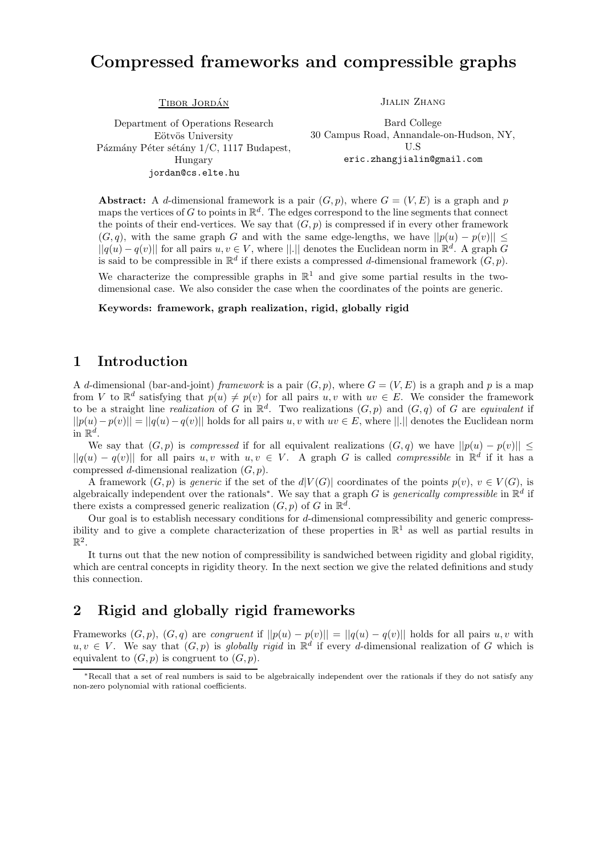# Compressed frameworks and compressible graphs

TIBOR JORDÁN

Department of Operations Research Eötvös University Pázmány Péter sétány 1/C, 1117 Budapest, Hungary jordan@cs.elte.hu

Jialin Zhang

Bard College 30 Campus Road, Annandale-on-Hudson, NY, U.S eric.zhangjialin@gmail.com

**Abstract:** A d-dimensional framework is a pair  $(G, p)$ , where  $G = (V, E)$  is a graph and p maps the vertices of G to points in  $\mathbb{R}^d$ . The edges correspond to the line segments that connect the points of their end-vertices. We say that  $(G, p)$  is compressed if in every other framework  $(G, q)$ , with the same graph G and with the same edge-lengths, we have  $||p(u) - p(v)||$  $||q(u) - q(v)||$  for all pairs  $u, v \in V$ , where  $||.||$  denotes the Euclidean norm in  $\mathbb{R}^d$ . A graph G is said to be compressible in  $\mathbb{R}^d$  if there exists a compressed d-dimensional framework  $(G, p)$ .

We characterize the compressible graphs in  $\mathbb{R}^1$  and give some partial results in the twodimensional case. We also consider the case when the coordinates of the points are generic.

Keywords: framework, graph realization, rigid, globally rigid

#### 1 Introduction

A d-dimensional (bar-and-joint) framework is a pair  $(G, p)$ , where  $G = (V, E)$  is a graph and p is a map from V to  $\mathbb{R}^d$  satisfying that  $p(u) \neq p(v)$  for all pairs  $u, v$  with  $uv \in E$ . We consider the framework to be a straight line *realization* of G in  $\mathbb{R}^d$ . Two realizations  $(G, p)$  and  $(G, q)$  of G are *equivalent* if  $||p(u)-p(v)|| = ||q(u)-q(v)||$  holds for all pairs u, v with  $uv \in E$ , where  $||.||$  denotes the Euclidean norm in  $\mathbb{R}^d$ .

We say that  $(G, p)$  is *compressed* if for all equivalent realizations  $(G, q)$  we have  $||p(u) - p(v)|| \le$  $||q(u) - q(v)||$  for all pairs  $u, v$  with  $u, v \in V$ . A graph G is called *compressible* in  $\mathbb{R}^d$  if it has a compressed d-dimensional realization  $(G, p)$ .

A framework  $(G, p)$  is generic if the set of the  $d|V(G)|$  coordinates of the points  $p(v)$ ,  $v \in V(G)$ , is algebraically independent over the rationals<sup>∗</sup>. We say that a graph G is *generically compressible* in  $\mathbb{R}^d$  if there exists a compressed generic realization  $(G, p)$  of G in  $\mathbb{R}^d$ .

Our goal is to establish necessary conditions for d-dimensional compressibility and generic compressibility and to give a complete characterization of these properties in  $\mathbb{R}^1$  as well as partial results in  $\mathbb{R}^2$ .

It turns out that the new notion of compressibility is sandwiched between rigidity and global rigidity, which are central concepts in rigidity theory. In the next section we give the related definitions and study this connection.

### 2 Rigid and globally rigid frameworks

Frameworks  $(G, p)$ ,  $(G, q)$  are *congruent* if  $||p(u) - p(v)|| = ||q(u) - q(v)||$  holds for all pairs u, v with  $u, v \in V$ . We say that  $(G, p)$  is globally rigid in  $\mathbb{R}^d$  if every d-dimensional realization of G which is equivalent to  $(G, p)$  is congruent to  $(G, p)$ .

<sup>∗</sup>Recall that a set of real numbers is said to be algebraically independent over the rationals if they do not satisfy any non-zero polynomial with rational coefficients.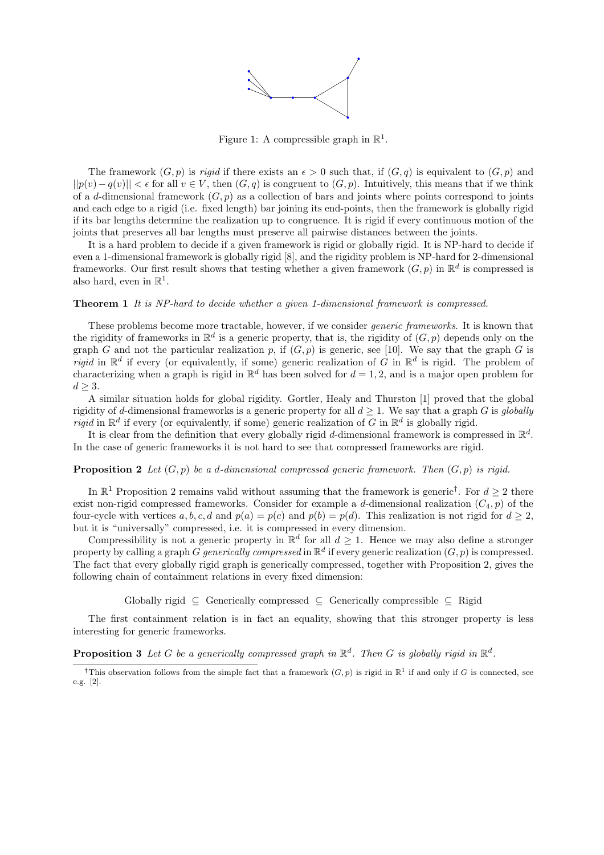

Figure 1: A compressible graph in  $\mathbb{R}^1$ .

The framework  $(G, p)$  is *rigid* if there exists an  $\epsilon > 0$  such that, if  $(G, q)$  is equivalent to  $(G, p)$  and  $||p(v) - q(v)|| < \epsilon$  for all  $v \in V$ , then  $(G, q)$  is congruent to  $(G, p)$ . Intuitively, this means that if we think of a d-dimensional framework  $(G, p)$  as a collection of bars and joints where points correspond to joints and each edge to a rigid (i.e. fixed length) bar joining its end-points, then the framework is globally rigid if its bar lengths determine the realization up to congruence. It is rigid if every continuous motion of the joints that preserves all bar lengths must preserve all pairwise distances between the joints.

It is a hard problem to decide if a given framework is rigid or globally rigid. It is NP-hard to decide if even a 1-dimensional framework is globally rigid [8], and the rigidity problem is NP-hard for 2-dimensional frameworks. Our first result shows that testing whether a given framework  $(G, p)$  in  $\mathbb{R}^d$  is compressed is also hard, even in  $\mathbb{R}^1$ .

#### **Theorem 1** It is NP-hard to decide whether a given 1-dimensional framework is compressed.

These problems become more tractable, however, if we consider generic frameworks. It is known that the rigidity of frameworks in  $\mathbb{R}^d$  is a generic property, that is, the rigidity of  $(G, p)$  depends only on the graph G and not the particular realization p, if  $(G, p)$  is generic, see [10]. We say that the graph G is rigid in  $\mathbb{R}^d$  if every (or equivalently, if some) generic realization of G in  $\mathbb{R}^d$  is rigid. The problem of characterizing when a graph is rigid in  $\mathbb{R}^d$  has been solved for  $d = 1, 2$ , and is a major open problem for  $d \geq 3$ .

A similar situation holds for global rigidity. Gortler, Healy and Thurston [1] proved that the global rigidity of d-dimensional frameworks is a generic property for all  $d \geq 1$ . We say that a graph G is globally rigid in  $\mathbb{R}^d$  if every (or equivalently, if some) generic realization of G in  $\mathbb{R}^d$  is globally rigid.

It is clear from the definition that every globally rigid d-dimensional framework is compressed in  $\mathbb{R}^d$ . In the case of generic frameworks it is not hard to see that compressed frameworks are rigid.

#### **Proposition 2** Let  $(G, p)$  be a d-dimensional compressed generic framework. Then  $(G, p)$  is rigid.

In  $\mathbb{R}^1$  Proposition 2 remains valid without assuming that the framework is generic<sup>†</sup>. For  $d \geq 2$  there exist non-rigid compressed frameworks. Consider for example a d-dimensional realization  $(C_4, p)$  of the four-cycle with vertices a, b, c, d and  $p(a) = p(c)$  and  $p(b) = p(d)$ . This realization is not rigid for  $d \ge 2$ , but it is "universally" compressed, i.e. it is compressed in every dimension.

Compressibility is not a generic property in  $\mathbb{R}^d$  for all  $d \geq 1$ . Hence we may also define a stronger property by calling a graph G generically compressed in  $\mathbb{R}^d$  if every generic realization  $(G, p)$  is compressed. The fact that every globally rigid graph is generically compressed, together with Proposition 2, gives the following chain of containment relations in every fixed dimension:

Globally rigid  $\subseteq$  Generically compressed  $\subseteq$  Generically compressible  $\subseteq$  Rigid

The first containment relation is in fact an equality, showing that this stronger property is less interesting for generic frameworks.

**Proposition 3** Let G be a generically compressed graph in  $\mathbb{R}^d$ . Then G is globally rigid in  $\mathbb{R}^d$ .

<sup>&</sup>lt;sup>†</sup>This observation follows from the simple fact that a framework  $(G, p)$  is rigid in  $\mathbb{R}^1$  if and only if G is connected, see e.g. [2].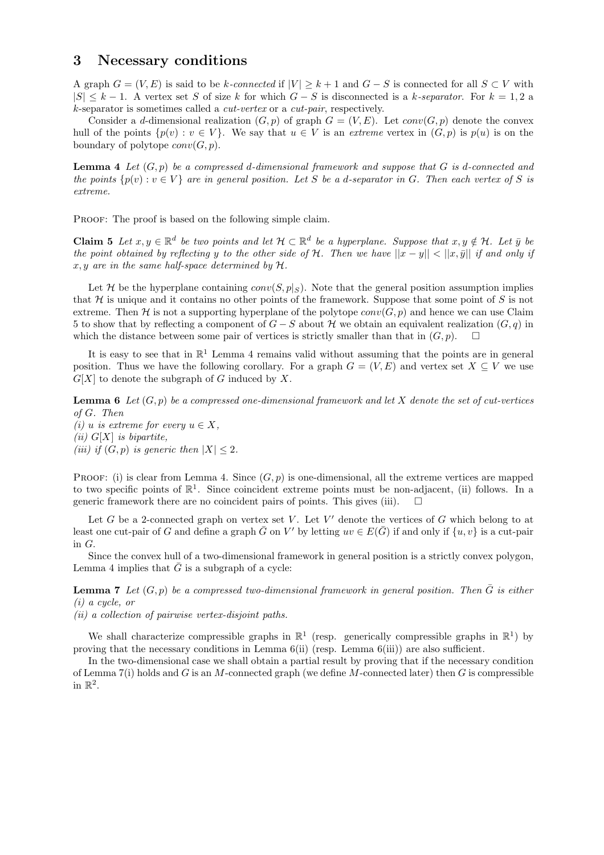#### 3 Necessary conditions

A graph  $G = (V, E)$  is said to be k-connected if  $|V| \ge k+1$  and  $G - S$  is connected for all  $S \subset V$  with  $|S| \leq k-1$ . A vertex set S of size k for which  $G-S$  is disconnected is a k-separator. For  $k=1,2$  a k-separator is sometimes called a cut-vertex or a cut-pair, respectively.

Consider a d-dimensional realization  $(G, p)$  of graph  $G = (V, E)$ . Let  $conv(G, p)$  denote the convex hull of the points  $\{p(v): v \in V\}$ . We say that  $u \in V$  is an extreme vertex in  $(G, p)$  is  $p(u)$  is on the boundary of polytope  $conv(G, p)$ .

**Lemma 4** Let  $(G, p)$  be a compressed d-dimensional framework and suppose that G is d-connected and the points  $\{p(v) : v \in V\}$  are in general position. Let S be a d-separator in G. Then each vertex of S is extreme.

PROOF: The proof is based on the following simple claim.

**Claim 5** Let  $x, y \in \mathbb{R}^d$  be two points and let  $\mathcal{H} \subset \mathbb{R}^d$  be a hyperplane. Suppose that  $x, y \notin \mathcal{H}$ . Let  $\bar{y}$  be the point obtained by reflecting y to the other side of H. Then we have  $||x - y|| < ||x, \bar{y}||$  if and only if x, y are in the same half-space determined by H.

Let H be the hyperplane containing  $conv(S, p|s)$ . Note that the general position assumption implies that H is unique and it contains no other points of the framework. Suppose that some point of S is not extreme. Then H is not a supporting hyperplane of the polytope  $conv(G, p)$  and hence we can use Claim 5 to show that by reflecting a component of  $G-S$  about H we obtain an equivalent realization  $(G, q)$  in which the distance between some pair of vertices is strictly smaller than that in  $(G, p)$ .

It is easy to see that in  $\mathbb{R}^1$  Lemma 4 remains valid without assuming that the points are in general position. Thus we have the following corollary. For a graph  $G = (V, E)$  and vertex set  $X \subseteq V$  we use  $G[X]$  to denote the subgraph of G induced by X.

**Lemma 6** Let  $(G, p)$  be a compressed one-dimensional framework and let X denote the set of cut-vertices of G. Then (i) u is extreme for every  $u \in X$ , (ii)  $G[X]$  is bipartite, (iii) if  $(G, p)$  is generic then  $|X| \leq 2$ .

PROOF: (i) is clear from Lemma 4. Since  $(G, p)$  is one-dimensional, all the extreme vertices are mapped to two specific points of  $\mathbb{R}^1$ . Since coincident extreme points must be non-adjacent, (ii) follows. In a generic framework there are no coincident pairs of points. This gives (iii).

Let  $G$  be a 2-connected graph on vertex set  $V$ . Let  $V'$  denote the vertices of  $G$  which belong to at least one cut-pair of G and define a graph  $\bar{G}$  on V' by letting  $uv \in E(\bar{G})$  if and only if  $\{u, v\}$  is a cut-pair in G.

Since the convex hull of a two-dimensional framework in general position is a strictly convex polygon, Lemma 4 implies that  $\bar{G}$  is a subgraph of a cycle:

**Lemma 7** Let  $(G, p)$  be a compressed two-dimensional framework in general position. Then  $\bar{G}$  is either (i) a cycle, or

(ii) a collection of pairwise vertex-disjoint paths.

We shall characterize compressible graphs in  $\mathbb{R}^1$  (resp. generically compressible graphs in  $\mathbb{R}^1$ ) by proving that the necessary conditions in Lemma 6(ii) (resp. Lemma 6(iii)) are also sufficient.

In the two-dimensional case we shall obtain a partial result by proving that if the necessary condition of Lemma 7(i) holds and G is an M-connected graph (we define M-connected later) then G is compressible in  $\mathbb{R}^2$ .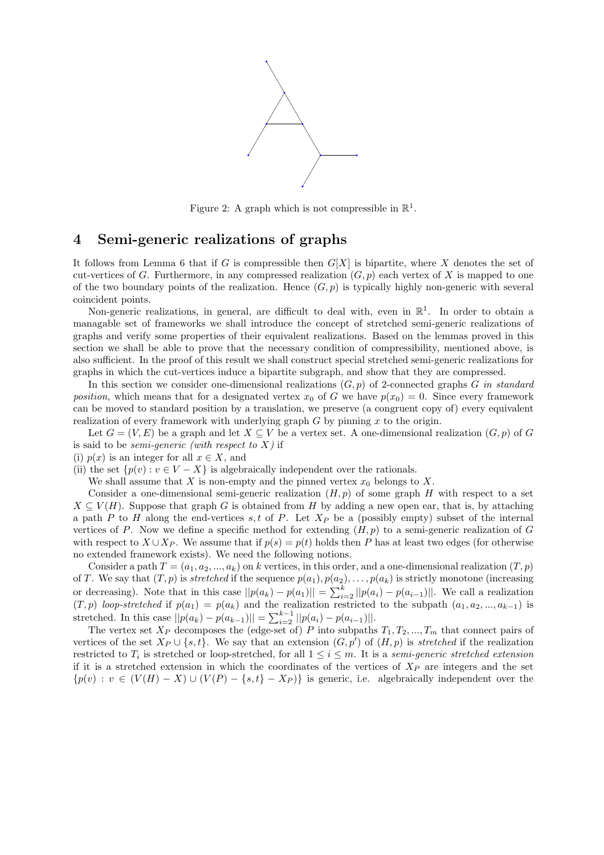

Figure 2: A graph which is not compressible in  $\mathbb{R}^1$ .

## 4 Semi-generic realizations of graphs

It follows from Lemma 6 that if G is compressible then  $G[X]$  is bipartite, where X denotes the set of cut-vertices of G. Furthermore, in any compressed realization  $(G, p)$  each vertex of X is mapped to one of the two boundary points of the realization. Hence  $(G, p)$  is typically highly non-generic with several coincident points.

Non-generic realizations, in general, are difficult to deal with, even in  $\mathbb{R}^1$ . In order to obtain a managable set of frameworks we shall introduce the concept of stretched semi-generic realizations of graphs and verify some properties of their equivalent realizations. Based on the lemmas proved in this section we shall be able to prove that the necessary condition of compressibility, mentioned above, is also sufficient. In the proof of this result we shall construct special stretched semi-generic realizations for graphs in which the cut-vertices induce a bipartite subgraph, and show that they are compressed.

In this section we consider one-dimensional realizations  $(G, p)$  of 2-connected graphs G in standard position, which means that for a designated vertex  $x_0$  of G we have  $p(x_0) = 0$ . Since every framework can be moved to standard position by a translation, we preserve (a congruent copy of) every equivalent realization of every framework with underlying graph  $G$  by pinning  $x$  to the origin.

Let  $G = (V, E)$  be a graph and let  $X \subseteq V$  be a vertex set. A one-dimensional realization  $(G, p)$  of G is said to be *semi-generic* (with respect to  $X$ ) if

(i)  $p(x)$  is an integer for all  $x \in X$ , and

(ii) the set  $\{p(v): v \in V - X\}$  is algebraically independent over the rationals.

We shall assume that  $X$  is non-empty and the pinned vertex  $x_0$  belongs to  $X$ .

Consider a one-dimensional semi-generic realization  $(H, p)$  of some graph H with respect to a set  $X \subseteq V(H)$ . Suppose that graph G is obtained from H by adding a new open ear, that is, by attaching a path P to H along the end-vertices s, t of P. Let  $X_P$  be a (possibly empty) subset of the internal vertices of P. Now we define a specific method for extending  $(H, p)$  to a semi-generic realization of G with respect to  $X \cup X_P$ . We assume that if  $p(s) = p(t)$  holds then P has at least two edges (for otherwise no extended framework exists). We need the following notions.

Consider a path  $T = (a_1, a_2, ..., a_k)$  on k vertices, in this order, and a one-dimensional realization  $(T, p)$ of T. We say that  $(T, p)$  is stretched if the sequence  $p(a_1), p(a_2), \ldots, p(a_k)$  is strictly monotone (increasing or decreasing). Note that in this case  $||p(a_k) - p(a_1)|| = \sum_{i=2}^{k} ||p(a_i) - p(a_{i-1})||$ . We call a realization  $(T, p)$  loop-stretched if  $p(a_1) = p(a_k)$  and the realization restricted to the subpath  $(a_1, a_2, ..., a_{k-1})$  is stretched. In this case  $||p(a_k) - p(a_{k-1})|| = \sum_{i=2}^{k-1} ||p(a_i) - p(a_{i-1})||$ .

The vertex set  $X_P$  decomposes the (edge-set of) P into subpaths  $T_1, T_2, ..., T_m$  that connect pairs of vertices of the set  $X_P \cup \{s,t\}$ . We say that an extension  $(G, p')$  of  $(H, p)$  is stretched if the realization restricted to  $T_i$  is stretched or loop-stretched, for all  $1 \leq i \leq m$ . It is a semi-generic stretched extension if it is a stretched extension in which the coordinates of the vertices of  $X_P$  are integers and the set  ${p(v) : v \in (V(H) - X) \cup (V(P) - \{s, t\} - X_P)\}$  is generic, i.e. algebraically independent over the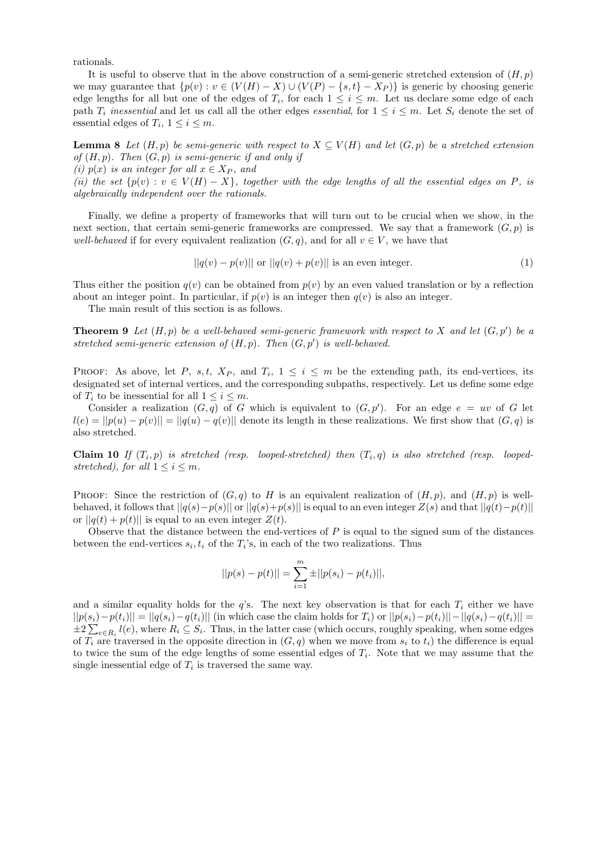rationals.

It is useful to observe that in the above construction of a semi-generic stretched extension of  $(H, p)$ we may guarantee that  $\{p(v) : v \in (V(H) - X) \cup (V(P) - \{s, t\} - X_P)\}\$ is generic by choosing generic edge lengths for all but one of the edges of  $T_i$ , for each  $1 \leq i \leq m$ . Let us declare some edge of each path  $T_i$  inessential and let us call all the other edges essential, for  $1 \leq i \leq m$ . Let  $S_i$  denote the set of essential edges of  $T_i$ ,  $1 \leq i \leq m$ .

**Lemma 8** Let  $(H, p)$  be semi-generic with respect to  $X \subseteq V(H)$  and let  $(G, p)$  be a stretched extension of  $(H, p)$ . Then  $(G, p)$  is semi-generic if and only if

(i)  $p(x)$  is an integer for all  $x \in X_P$ , and

(ii) the set  $\{p(v): v \in V(H) - X\}$ , together with the edge lengths of all the essential edges on P, is algebraically independent over the rationals.

Finally, we define a property of frameworks that will turn out to be crucial when we show, in the next section, that certain semi-generic frameworks are compressed. We say that a framework  $(G, p)$  is well-behaved if for every equivalent realization  $(G, q)$ , and for all  $v \in V$ , we have that

$$
||q(v) - p(v)||
$$
 or 
$$
||q(v) + p(v)||
$$
 is an even integer. (1)

Thus either the position  $q(v)$  can be obtained from  $p(v)$  by an even valued translation or by a reflection about an integer point. In particular, if  $p(v)$  is an integer then  $q(v)$  is also an integer.

The main result of this section is as follows.

**Theorem 9** Let  $(H, p)$  be a well-behaved semi-generic framework with respect to X and let  $(G, p')$  be a stretched semi-generic extension of  $(H, p)$ . Then  $(G, p')$  is well-behaved.

PROOF: As above, let P, s, t,  $X_P$ , and  $T_i$ ,  $1 \leq i \leq m$  be the extending path, its end-vertices, its designated set of internal vertices, and the corresponding subpaths, respectively. Let us define some edge of  $T_i$  to be inessential for all  $1 \leq i \leq m$ .

Consider a realization  $(G, q)$  of G which is equivalent to  $(G, p')$ . For an edge  $e = uv$  of G let  $l(e) = ||p(u) - p(v)|| = ||q(u) - q(v)||$  denote its length in these realizations. We first show that  $(G, q)$  is also stretched.

**Claim 10** If  $(T_i, p)$  is stretched (resp. looped-stretched) then  $(T_i, q)$  is also stretched (resp. loopedstretched), for all  $1 \leq i \leq m$ .

PROOF: Since the restriction of  $(G, q)$  to H is an equivalent realization of  $(H, p)$ , and  $(H, p)$  is wellbehaved, it follows that  $||q(s)-p(s)||$  or  $||q(s)+p(s)||$  is equal to an even integer  $Z(s)$  and that  $||q(t)-p(t)||$ or  $||q(t) + p(t)||$  is equal to an even integer  $Z(t)$ .

Observe that the distance between the end-vertices of  $P$  is equal to the signed sum of the distances between the end-vertices  $s_i, t_i$  of the  $T_i$ 's, in each of the two realizations. Thus

$$
||p(s) - p(t)|| = \sum_{i=1}^{m} \pm ||p(s_i) - p(t_i)||,
$$

and a similar equality holds for the  $q$ 's. The next key observation is that for each  $T_i$  either we have  $||p(s_i)-p(t_i)|| = ||q(s_i)-q(t_i)||$  (in which case the claim holds for  $T_i$ ) or  $||p(s_i)-p(t_i)|| - ||q(s_i)-q(t_i)|| =$  $\pm 2\sum_{e\in R_i}l(e)$ , where  $R_i\subseteq S_i$ . Thus, in the latter case (which occurs, roughly speaking, when some edges of  $T_i$  are traversed in the opposite direction in  $(G, q)$  when we move from  $s_i$  to  $t_i$ ) the difference is equal to twice the sum of the edge lengths of some essential edges of  $T_i$ . Note that we may assume that the single inessential edge of  $T_i$  is traversed the same way.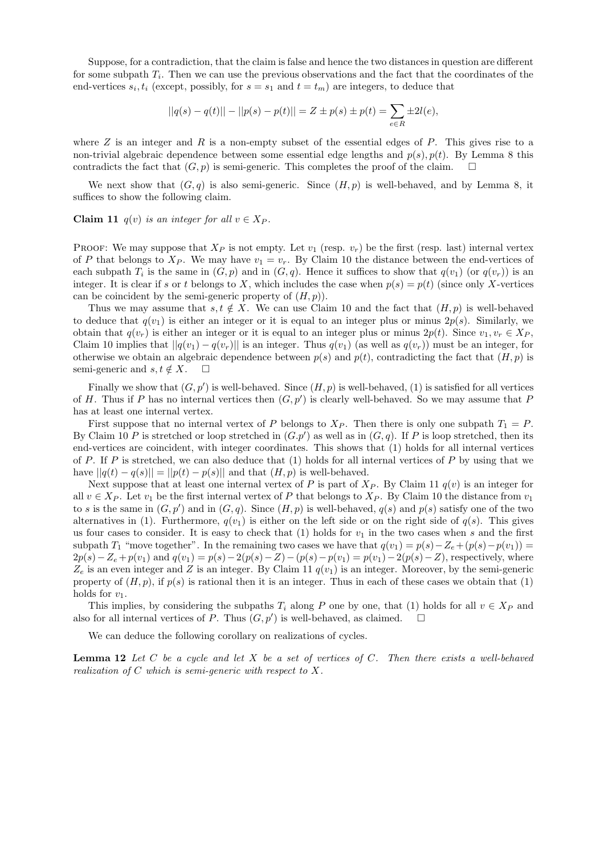Suppose, for a contradiction, that the claim is false and hence the two distances in question are different for some subpath  $T_i$ . Then we can use the previous observations and the fact that the coordinates of the end-vertices  $s_i, t_i$  (except, possibly, for  $s = s_1$  and  $t = t_m$ ) are integers, to deduce that

$$
||q(s) - q(t)|| - ||p(s) - p(t)|| = Z \pm p(s) \pm p(t) = \sum_{e \in R} \pm 2l(e),
$$

where  $Z$  is an integer and  $R$  is a non-empty subset of the essential edges of  $P$ . This gives rise to a non-trivial algebraic dependence between some essential edge lengths and  $p(s)$ ,  $p(t)$ . By Lemma 8 this contradicts the fact that  $(G, p)$  is semi-generic. This completes the proof of the claim.  $\square$ 

We next show that  $(G, q)$  is also semi-generic. Since  $(H, p)$  is well-behaved, and by Lemma 8, it suffices to show the following claim.

Claim 11  $q(v)$  is an integer for all  $v \in X_P$ .

PROOF: We may suppose that  $X_P$  is not empty. Let  $v_1$  (resp.  $v_r$ ) be the first (resp. last) internal vertex of P that belongs to  $X_P$ . We may have  $v_1 = v_r$ . By Claim 10 the distance between the end-vertices of each subpath  $T_i$  is the same in  $(G, p)$  and in  $(G, q)$ . Hence it suffices to show that  $q(v_1)$  (or  $q(v_r)$ ) is an integer. It is clear if s or t belongs to X, which includes the case when  $p(s) = p(t)$  (since only X-vertices can be coincident by the semi-generic property of  $(H, p)$ ).

Thus we may assume that  $s, t \notin X$ . We can use Claim 10 and the fact that  $(H, p)$  is well-behaved to deduce that  $q(v_1)$  is either an integer or it is equal to an integer plus or minus  $2p(s)$ . Similarly, we obtain that  $q(v_r)$  is either an integer or it is equal to an integer plus or minus  $2p(t)$ . Since  $v_1, v_r \in X_P$ , Claim 10 implies that  $||q(v_1) - q(v_r)||$  is an integer. Thus  $q(v_1)$  (as well as  $q(v_r)$ ) must be an integer, for otherwise we obtain an algebraic dependence between  $p(s)$  and  $p(t)$ , contradicting the fact that  $(H, p)$  is semi-generic and  $s, t \notin X$ .  $\Box$ 

Finally we show that  $(G, p')$  is well-behaved. Since  $(H, p)$  is well-behaved,  $(1)$  is satisfied for all vertices of H. Thus if P has no internal vertices then  $(G, p')$  is clearly well-behaved. So we may assume that P has at least one internal vertex.

First suppose that no internal vertex of P belongs to  $X_P$ . Then there is only one subpath  $T_1 = P$ . By Claim 10 P is stretched or loop stretched in  $(G, p')$  as well as in  $(G, q)$ . If P is loop stretched, then its end-vertices are coincident, with integer coordinates. This shows that (1) holds for all internal vertices of P. If P is stretched, we can also deduce that  $(1)$  holds for all internal vertices of P by using that we have  $||q(t) - q(s)|| = ||p(t) - p(s)||$  and that  $(H, p)$  is well-behaved.

Next suppose that at least one internal vertex of P is part of  $X_P$ . By Claim 11  $q(v)$  is an integer for all  $v \in X_P$ . Let  $v_1$  be the first internal vertex of P that belongs to  $X_P$ . By Claim 10 the distance from  $v_1$ to s is the same in  $(G, p')$  and in  $(G, q)$ . Since  $(H, p)$  is well-behaved,  $q(s)$  and  $p(s)$  satisfy one of the two alternatives in (1). Furthermore,  $q(v_1)$  is either on the left side or on the right side of  $q(s)$ . This gives us four cases to consider. It is easy to check that (1) holds for  $v_1$  in the two cases when s and the first subpath T<sub>1</sub> "move together". In the remaining two cases we have that  $q(v_1) = p(s) - Z_e + (p(s) - p(v_1)) =$  $2p(s) - Z_e + p(v_1)$  and  $q(v_1) = p(s) - 2(p(s) - Z) - (p(s) - p(v_1) = p(v_1) - 2(p(s) - Z)$ , respectively, where  $Z_e$  is an even integer and Z is an integer. By Claim 11  $q(v_1)$  is an integer. Moreover, by the semi-generic property of  $(H, p)$ , if  $p(s)$  is rational then it is an integer. Thus in each of these cases we obtain that (1) holds for  $v_1$ .

This implies, by considering the subpaths  $T_i$  along P one by one, that (1) holds for all  $v \in X_P$  and also for all internal vertices of P. Thus  $(G, p')$  is well-behaved, as claimed.

We can deduce the following corollary on realizations of cycles.

**Lemma 12** Let C be a cycle and let X be a set of vertices of C. Then there exists a well-behaved realization of C which is semi-generic with respect to X.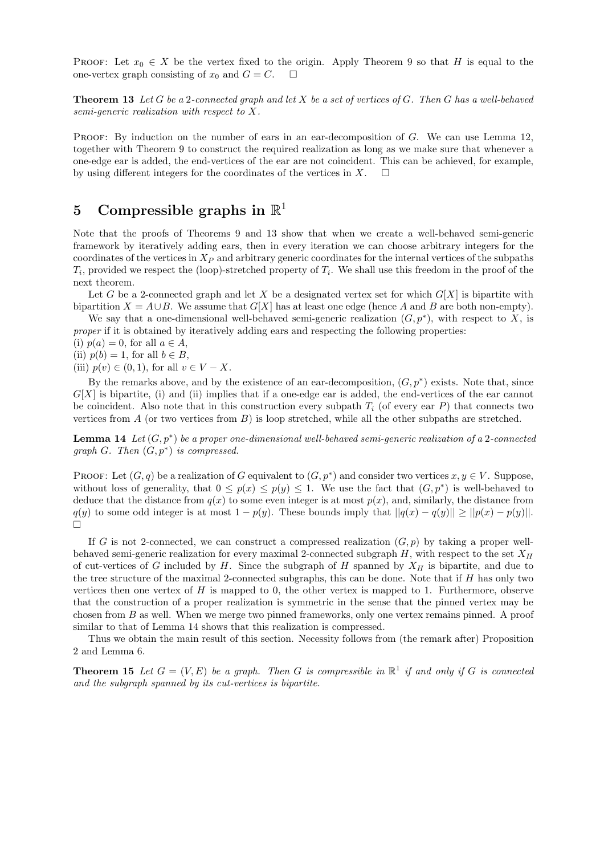PROOF: Let  $x_0 \in X$  be the vertex fixed to the origin. Apply Theorem 9 so that H is equal to the one-vertex graph consisting of  $x_0$  and  $G = C$ .  $\Box$ 

**Theorem 13** Let G be a 2-connected graph and let X be a set of vertices of G. Then G has a well-behaved semi-generic realization with respect to X.

PROOF: By induction on the number of ears in an ear-decomposition of  $G$ . We can use Lemma 12, together with Theorem 9 to construct the required realization as long as we make sure that whenever a one-edge ear is added, the end-vertices of the ear are not coincident. This can be achieved, for example, by using different integers for the coordinates of the vertices in X.  $\Box$ 

### 5 Compressible graphs in  $\mathbb{R}^1$

Note that the proofs of Theorems 9 and 13 show that when we create a well-behaved semi-generic framework by iteratively adding ears, then in every iteration we can choose arbitrary integers for the coordinates of the vertices in  $X_P$  and arbitrary generic coordinates for the internal vertices of the subpaths  $T_i$ , provided we respect the (loop)-stretched property of  $T_i$ . We shall use this freedom in the proof of the next theorem.

Let G be a 2-connected graph and let X be a designated vertex set for which  $G[X]$  is bipartite with bipartition  $X = A \cup B$ . We assume that  $G[X]$  has at least one edge (hence A and B are both non-empty).

We say that a one-dimensional well-behaved semi-generic realization  $(G, p^*)$ , with respect to X, is proper if it is obtained by iteratively adding ears and respecting the following properties:

(i)  $p(a) = 0$ , for all  $a \in A$ ,

(ii)  $p(b) = 1$ , for all  $b \in B$ ,

(iii)  $p(v) \in (0,1)$ , for all  $v \in V - X$ .

By the remarks above, and by the existence of an ear-decomposition,  $(G, p^*)$  exists. Note that, since  $G[X]$  is bipartite, (i) and (ii) implies that if a one-edge ear is added, the end-vertices of the ear cannot be coincident. Also note that in this construction every subpath  $T_i$  (of every ear P) that connects two vertices from  $A$  (or two vertices from  $B$ ) is loop stretched, while all the other subpaths are stretched.

**Lemma 14** Let  $(G, p^*)$  be a proper one-dimensional well-behaved semi-generic realization of a 2-connected graph  $G$ . Then  $(G, p^*)$  is compressed.

PROOF: Let  $(G, q)$  be a realization of G equivalent to  $(G, p^*)$  and consider two vertices  $x, y \in V$ . Suppose, without loss of generality, that  $0 \leq p(x) \leq p(y) \leq 1$ . We use the fact that  $(G, p^*)$  is well-behaved to deduce that the distance from  $q(x)$  to some even integer is at most  $p(x)$ , and, similarly, the distance from  $q(y)$  to some odd integer is at most  $1 - p(y)$ . These bounds imply that  $||q(x) - q(y)|| \ge ||p(x) - p(y)||$ .  $\Box$ 

If G is not 2-connected, we can construct a compressed realization  $(G, p)$  by taking a proper wellbehaved semi-generic realization for every maximal 2-connected subgraph  $H$ , with respect to the set  $X_H$ of cut-vertices of G included by H. Since the subgraph of H spanned by  $X_H$  is bipartite, and due to the tree structure of the maximal 2-connected subgraphs, this can be done. Note that if H has only two vertices then one vertex of  $H$  is mapped to 0, the other vertex is mapped to 1. Furthermore, observe that the construction of a proper realization is symmetric in the sense that the pinned vertex may be chosen from B as well. When we merge two pinned frameworks, only one vertex remains pinned. A proof similar to that of Lemma 14 shows that this realization is compressed.

Thus we obtain the main result of this section. Necessity follows from (the remark after) Proposition 2 and Lemma 6.

**Theorem 15** Let  $G = (V, E)$  be a graph. Then G is compressible in  $\mathbb{R}^1$  if and only if G is connected and the subgraph spanned by its cut-vertices is bipartite.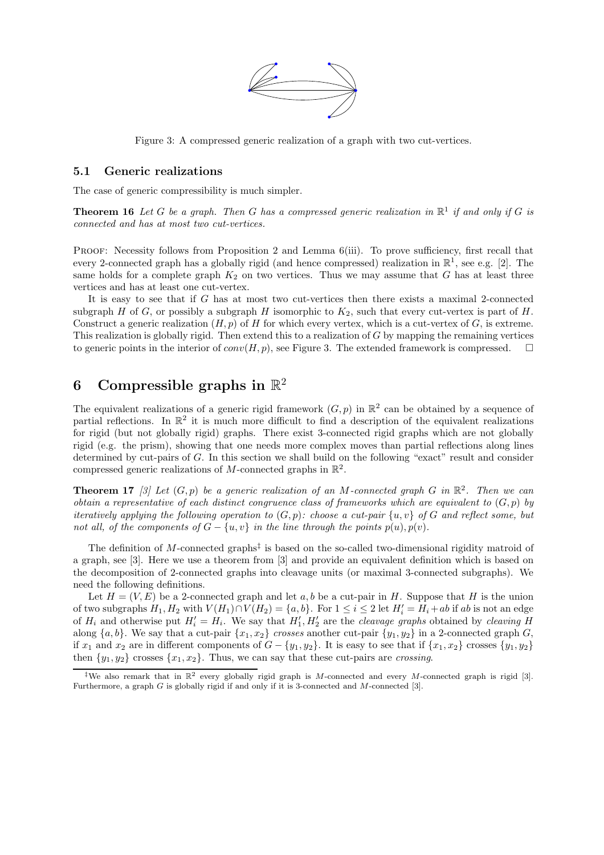

Figure 3: A compressed generic realization of a graph with two cut-vertices.

#### 5.1 Generic realizations

The case of generic compressibility is much simpler.

**Theorem 16** Let G be a graph. Then G has a compressed generic realization in  $\mathbb{R}^1$  if and only if G is connected and has at most two cut-vertices.

PROOF: Necessity follows from Proposition 2 and Lemma 6(iii). To prove sufficiency, first recall that every 2-connected graph has a globally rigid (and hence compressed) realization in  $\mathbb{R}^1$ , see e.g. [2]. The same holds for a complete graph  $K_2$  on two vertices. Thus we may assume that G has at least three vertices and has at least one cut-vertex.

It is easy to see that if G has at most two cut-vertices then there exists a maximal 2-connected subgraph H of G, or possibly a subgraph H isomorphic to  $K_2$ , such that every cut-vertex is part of H. Construct a generic realization  $(H, p)$  of H for which every vertex, which is a cut-vertex of  $G$ , is extreme. This realization is globally rigid. Then extend this to a realization of G by mapping the remaining vertices to generic points in the interior of  $conv(H, p)$ , see Figure 3. The extended framework is compressed.  $\square$ 

## 6 Compressible graphs in  $\mathbb{R}^2$

The equivalent realizations of a generic rigid framework  $(G, p)$  in  $\mathbb{R}^2$  can be obtained by a sequence of partial reflections. In  $\mathbb{R}^2$  it is much more difficult to find a description of the equivalent realizations for rigid (but not globally rigid) graphs. There exist 3-connected rigid graphs which are not globally rigid (e.g. the prism), showing that one needs more complex moves than partial reflections along lines determined by cut-pairs of G. In this section we shall build on the following "exact" result and consider compressed generic realizations of M-connected graphs in  $\mathbb{R}^2$ .

**Theorem 17** [3] Let  $(G, p)$  be a generic realization of an M-connected graph G in  $\mathbb{R}^2$ . Then we can obtain a representative of each distinct congruence class of frameworks which are equivalent to  $(G, p)$  by iteratively applying the following operation to  $(G, p)$ : choose a cut-pair  $\{u, v\}$  of G and reflect some, but not all, of the components of  $G - \{u, v\}$  in the line through the points  $p(u), p(v)$ .

The definition of M-connected graphs<sup> $\ddagger$ </sup> is based on the so-called two-dimensional rigidity matroid of a graph, see [3]. Here we use a theorem from [3] and provide an equivalent definition which is based on the decomposition of 2-connected graphs into cleavage units (or maximal 3-connected subgraphs). We need the following definitions.

Let  $H = (V, E)$  be a 2-connected graph and let a, b be a cut-pair in H. Suppose that H is the union of two subgraphs  $H_1, H_2$  with  $V(H_1) \cap V(H_2) = \{a, b\}$ . For  $1 \le i \le 2$  let  $H'_i = H_i + ab$  if ab is not an edge of  $H_i$  and otherwise put  $H'_i = H_i$ . We say that  $H'_1, H'_2$  are the *cleavage graphs* obtained by *cleaving* H along  $\{a, b\}$ . We say that a cut-pair  $\{x_1, x_2\}$  crosses another cut-pair  $\{y_1, y_2\}$  in a 2-connected graph G, if  $x_1$  and  $x_2$  are in different components of  $G - \{y_1, y_2\}$ . It is easy to see that if  $\{x_1, x_2\}$  crosses  $\{y_1, y_2\}$ then  $\{y_1, y_2\}$  crosses  $\{x_1, x_2\}$ . Thus, we can say that these cut-pairs are crossing.

<sup>&</sup>lt;sup>‡</sup>We also remark that in  $\mathbb{R}^2$  every globally rigid graph is M-connected and every M-connected graph is rigid [3]. Furthermore, a graph G is globally rigid if and only if it is 3-connected and M-connected [3].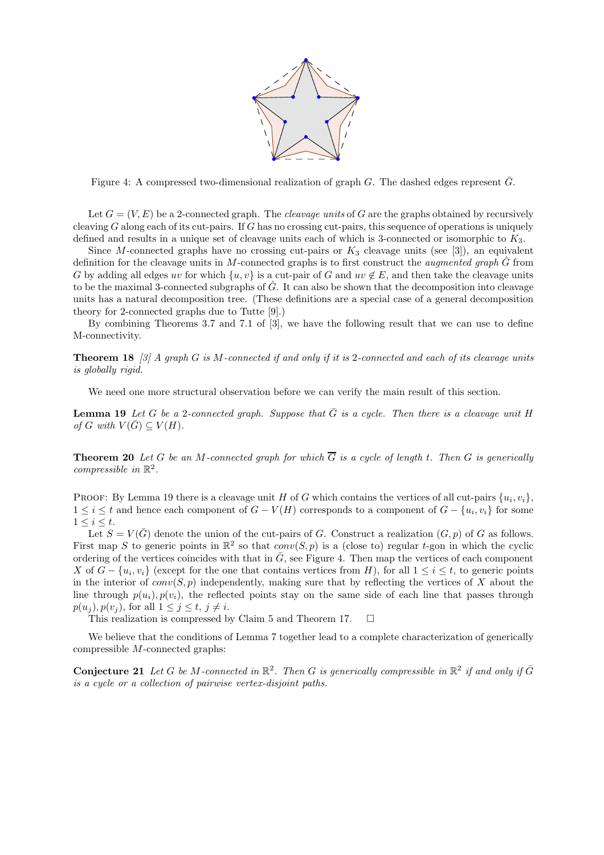

Figure 4: A compressed two-dimensional realization of graph G. The dashed edges represent  $\bar{G}$ .

Let  $G = (V, E)$  be a 2-connected graph. The *cleavage units* of G are the graphs obtained by recursively cleaving  $G$  along each of its cut-pairs. If  $G$  has no crossing cut-pairs, this sequence of operations is uniquely defined and results in a unique set of cleavage units each of which is 3-connected or isomorphic to  $K_3$ .

Since M-connected graphs have no crossing cut-pairs or  $K_3$  cleavage units (see [3]), an equivalent definition for the cleavage units in M-connected graphs is to first construct the *augmented graph*  $\hat{G}$  from G by adding all edges uv for which  $\{u, v\}$  is a cut-pair of G and uv  $\notin E$ , and then take the cleavage units to be the maximal 3-connected subgraphs of  $G$ . It can also be shown that the decomposition into cleavage units has a natural decomposition tree. (These definitions are a special case of a general decomposition theory for 2-connected graphs due to Tutte [9].)

By combining Theorems 3.7 and 7.1 of [3], we have the following result that we can use to define M-connectivity.

**Theorem 18** [3] A graph G is M-connected if and only if it is 2-connected and each of its cleavage units is globally rigid.

We need one more structural observation before we can verify the main result of this section.

**Lemma 19** Let G be a 2-connected graph. Suppose that  $\bar{G}$  is a cycle. Then there is a cleavage unit H of G with  $V(G) \subseteq V(H)$ .

**Theorem 20** Let G be an M-connected graph for which  $\overline{G}$  is a cycle of length t. Then G is generically compressible in  $\mathbb{R}^2$ .

PROOF: By Lemma 19 there is a cleavage unit H of G which contains the vertices of all cut-pairs  $\{u_i, v_i\}$ ,  $1 \leq i \leq t$  and hence each component of  $G - V(H)$  corresponds to a component of  $G - \{u_i, v_i\}$  for some  $1 \leq i \leq t$ .

Let  $S = V(\bar{G})$  denote the union of the cut-pairs of G. Construct a realization  $(G, p)$  of G as follows. First map S to generic points in  $\mathbb{R}^2$  so that  $conv(S, p)$  is a (close to) regular t-gon in which the cyclic ordering of the vertices coincides with that in  $\bar{G}$ , see Figure 4. Then map the vertices of each component X of  $G - \{u_i, v_i\}$  (except for the one that contains vertices from H), for all  $1 \leq i \leq t$ , to generic points in the interior of  $conv(S, p)$  independently, making sure that by reflecting the vertices of X about the line through  $p(u_i), p(v_i)$ , the reflected points stay on the same side of each line that passes through  $p(u_i)$ ,  $p(v_i)$ , for all  $1 \leq i \leq t$ ,  $i \neq i$ .

This realization is compressed by Claim 5 and Theorem 17.  $\Box$ 

We believe that the conditions of Lemma 7 together lead to a complete characterization of generically compressible M-connected graphs:

**Conjecture 21** Let G be M-connected in  $\mathbb{R}^2$ . Then G is generically compressible in  $\mathbb{R}^2$  if and only if  $\bar{G}$ is a cycle or a collection of pairwise vertex-disjoint paths.